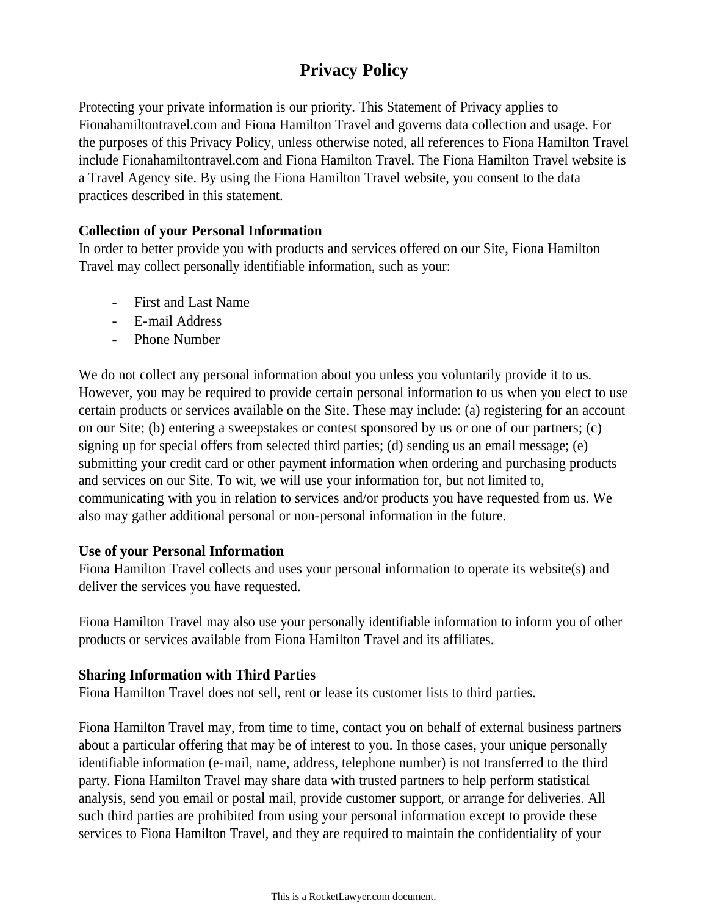# **Privacy Policy**

Protecting your private information is our priority. This Statement of Privacy applies to Fionahamiltontravel.com and Fiona Hamilton Travel and governs data collection and usage. For the purposes of this Privacy Policy, unless otherwise noted, all references to Fiona Hamilton Travel include Fionahamiltontravel.com and Fiona Hamilton Travel. The Fiona Hamilton Travel website is a Travel Agency site. By using the Fiona Hamilton Travel website, you consent to the data practices described in this statement.

### **Collection of your Personal Information**

In order to better provide you with products and services offered on our Site, Fiona Hamilton Travel may collect personally identifiable information, such as your:

- First and Last Name
- E-mail Address
- Phone Number

We do not collect any personal information about you unless you voluntarily provide it to us. However, you may be required to provide certain personal information to us when you elect to use certain products or services available on the Site. These may include: (a) registering for an account on our Site; (b) entering a sweepstakes or contest sponsored by us or one of our partners; (c) signing up for special offers from selected third parties; (d) sending us an email message; (e) submitting your credit card or other payment information when ordering and purchasing products and services on our Site. To wit, we will use your information for, but not limited to, communicating with you in relation to services and/or products you have requested from us. We also may gather additional personal or non-personal information in the future.

#### **Use of your Personal Information**

Fiona Hamilton Travel collects and uses your personal information to operate its website(s) and deliver the services you have requested.

Fiona Hamilton Travel may also use your personally identifiable information to inform you of other products or services available from Fiona Hamilton Travel and its affiliates.

### **Sharing Information with Third Parties**

Fiona Hamilton Travel does not sell, rent or lease its customer lists to third parties.

Fiona Hamilton Travel may, from time to time, contact you on behalf of external business partners about a particular offering that may be of interest to you. In those cases, your unique personally identifiable information (e-mail, name, address, telephone number) is not transferred to the third party. Fiona Hamilton Travel may share data with trusted partners to help perform statistical analysis, send you email or postal mail, provide customer support, or arrange for deliveries. All such third parties are prohibited from using your personal information except to provide these services to Fiona Hamilton Travel, and they are required to maintain the confidentiality of your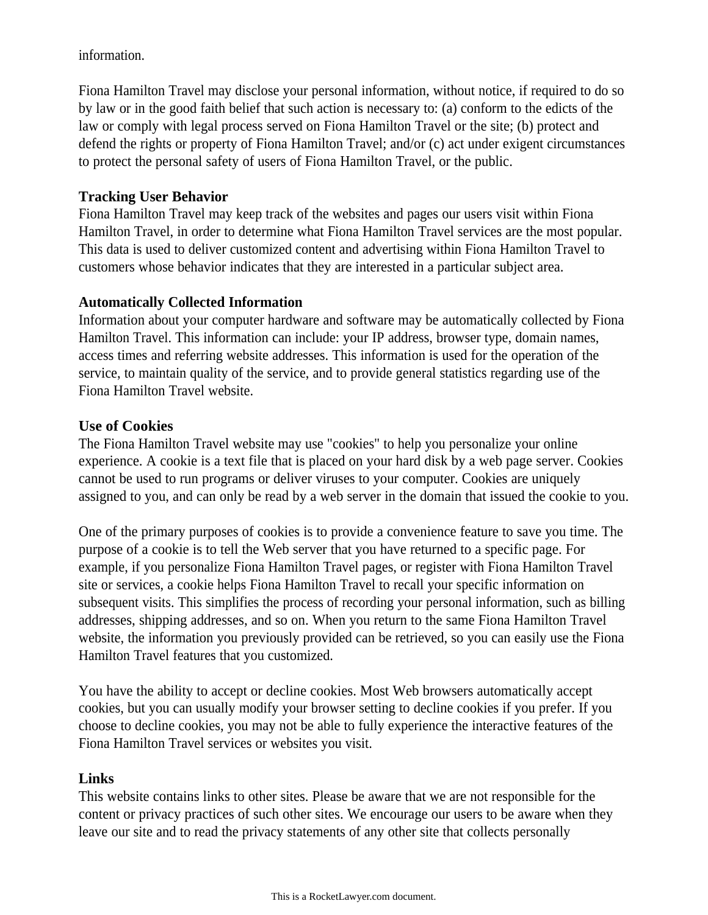information.

Fiona Hamilton Travel may disclose your personal information, without notice, if required to do so by law or in the good faith belief that such action is necessary to: (a) conform to the edicts of the law or comply with legal process served on Fiona Hamilton Travel or the site; (b) protect and defend the rights or property of Fiona Hamilton Travel; and/or (c) act under exigent circumstances to protect the personal safety of users of Fiona Hamilton Travel, or the public.

### **Tracking User Behavior**

Fiona Hamilton Travel may keep track of the websites and pages our users visit within Fiona Hamilton Travel, in order to determine what Fiona Hamilton Travel services are the most popular. This data is used to deliver customized content and advertising within Fiona Hamilton Travel to customers whose behavior indicates that they are interested in a particular subject area.

# **Automatically Collected Information**

Information about your computer hardware and software may be automatically collected by Fiona Hamilton Travel. This information can include: your IP address, browser type, domain names, access times and referring website addresses. This information is used for the operation of the service, to maintain quality of the service, and to provide general statistics regarding use of the Fiona Hamilton Travel website.

# **Use of Cookies**

The Fiona Hamilton Travel website may use "cookies" to help you personalize your online experience. A cookie is a text file that is placed on your hard disk by a web page server. Cookies cannot be used to run programs or deliver viruses to your computer. Cookies are uniquely assigned to you, and can only be read by a web server in the domain that issued the cookie to you.

One of the primary purposes of cookies is to provide a convenience feature to save you time. The purpose of a cookie is to tell the Web server that you have returned to a specific page. For example, if you personalize Fiona Hamilton Travel pages, or register with Fiona Hamilton Travel site or services, a cookie helps Fiona Hamilton Travel to recall your specific information on subsequent visits. This simplifies the process of recording your personal information, such as billing addresses, shipping addresses, and so on. When you return to the same Fiona Hamilton Travel website, the information you previously provided can be retrieved, so you can easily use the Fiona Hamilton Travel features that you customized.

You have the ability to accept or decline cookies. Most Web browsers automatically accept cookies, but you can usually modify your browser setting to decline cookies if you prefer. If you choose to decline cookies, you may not be able to fully experience the interactive features of the Fiona Hamilton Travel services or websites you visit.

# **Links**

This website contains links to other sites. Please be aware that we are not responsible for the content or privacy practices of such other sites. We encourage our users to be aware when they leave our site and to read the privacy statements of any other site that collects personally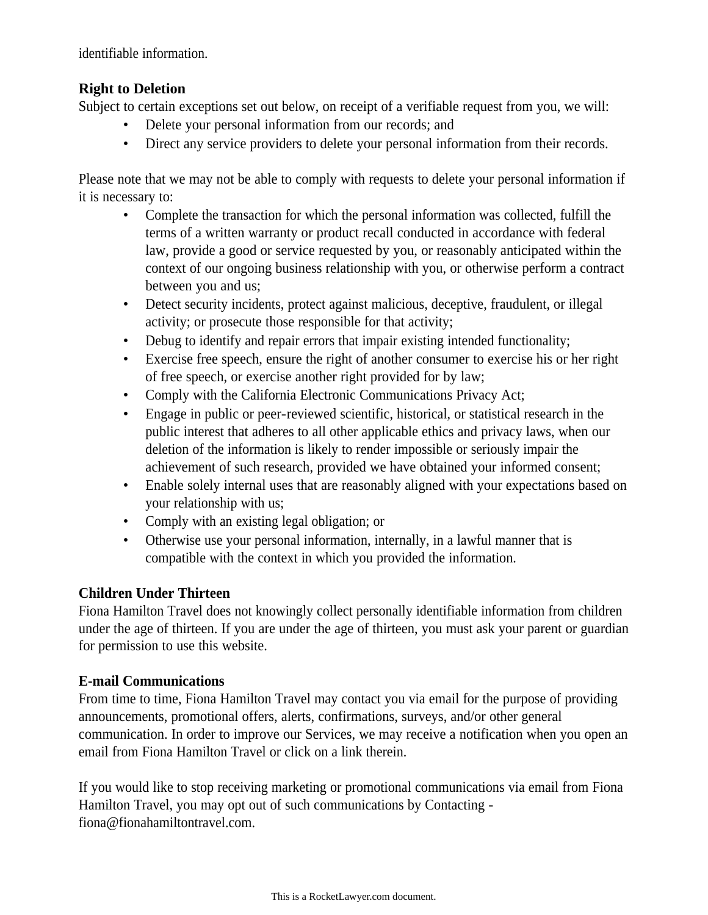identifiable information.

### **Right to Deletion**

Subject to certain exceptions set out below, on receipt of a verifiable request from you, we will:

- Delete your personal information from our records; and
- Direct any service providers to delete your personal information from their records.

Please note that we may not be able to comply with requests to delete your personal information if it is necessary to:

- Complete the transaction for which the personal information was collected, fulfill the terms of a written warranty or product recall conducted in accordance with federal law, provide a good or service requested by you, or reasonably anticipated within the context of our ongoing business relationship with you, or otherwise perform a contract between you and us;
- Detect security incidents, protect against malicious, deceptive, fraudulent, or illegal activity; or prosecute those responsible for that activity;
- Debug to identify and repair errors that impair existing intended functionality;
- Exercise free speech, ensure the right of another consumer to exercise his or her right of free speech, or exercise another right provided for by law;
- Comply with the California Electronic Communications Privacy Act;
- Engage in public or peer-reviewed scientific, historical, or statistical research in the public interest that adheres to all other applicable ethics and privacy laws, when our deletion of the information is likely to render impossible or seriously impair the achievement of such research, provided we have obtained your informed consent;
- Enable solely internal uses that are reasonably aligned with your expectations based on your relationship with us;
- Comply with an existing legal obligation; or
- Otherwise use your personal information, internally, in a lawful manner that is compatible with the context in which you provided the information.

### **Children Under Thirteen**

Fiona Hamilton Travel does not knowingly collect personally identifiable information from children under the age of thirteen. If you are under the age of thirteen, you must ask your parent or guardian for permission to use this website.

### **E-mail Communications**

From time to time, Fiona Hamilton Travel may contact you via email for the purpose of providing announcements, promotional offers, alerts, confirmations, surveys, and/or other general communication. In order to improve our Services, we may receive a notification when you open an email from Fiona Hamilton Travel or click on a link therein.

If you would like to stop receiving marketing or promotional communications via email from Fiona Hamilton Travel, you may opt out of such communications by Contacting fiona@fionahamiltontravel.com.